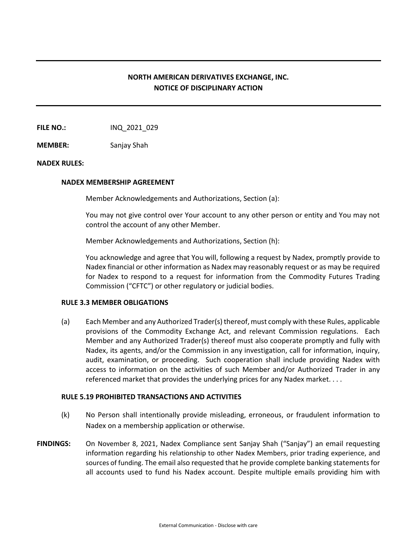# **NORTH AMERICAN DERIVATIVES EXCHANGE, INC. NOTICE OF DISCIPLINARY ACTION**

**FILE NO.:** INQ\_2021\_029

**MEMBER:** Sanjay Shah

# **NADEX RULES:**

# **NADEX MEMBERSHIP AGREEMENT**

Member Acknowledgements and Authorizations, Section (a):

You may not give control over Your account to any other person or entity and You may not control the account of any other Member.

Member Acknowledgements and Authorizations, Section (h):

You acknowledge and agree that You will, following a request by Nadex, promptly provide to Nadex financial or other information as Nadex may reasonably request or as may be required for Nadex to respond to a request for information from the Commodity Futures Trading Commission ("CFTC") or other regulatory or judicial bodies.

# **RULE 3.3 MEMBER OBLIGATIONS**

(a) Each Member and any Authorized Trader(s) thereof, must comply with these Rules, applicable provisions of the Commodity Exchange Act, and relevant Commission regulations. Each Member and any Authorized Trader(s) thereof must also cooperate promptly and fully with Nadex, its agents, and/or the Commission in any investigation, call for information, inquiry, audit, examination, or proceeding. Such cooperation shall include providing Nadex with access to information on the activities of such Member and/or Authorized Trader in any referenced market that provides the underlying prices for any Nadex market. . . .

# **RULE 5.19 PROHIBITED TRANSACTIONS AND ACTIVITIES**

- (k) No Person shall intentionally provide misleading, erroneous, or fraudulent information to Nadex on a membership application or otherwise.
- **FINDINGS:** On November 8, 2021, Nadex Compliance sent Sanjay Shah ("Sanjay") an email requesting information regarding his relationship to other Nadex Members, prior trading experience, and sources of funding. The email also requested that he provide complete banking statements for all accounts used to fund his Nadex account. Despite multiple emails providing him with